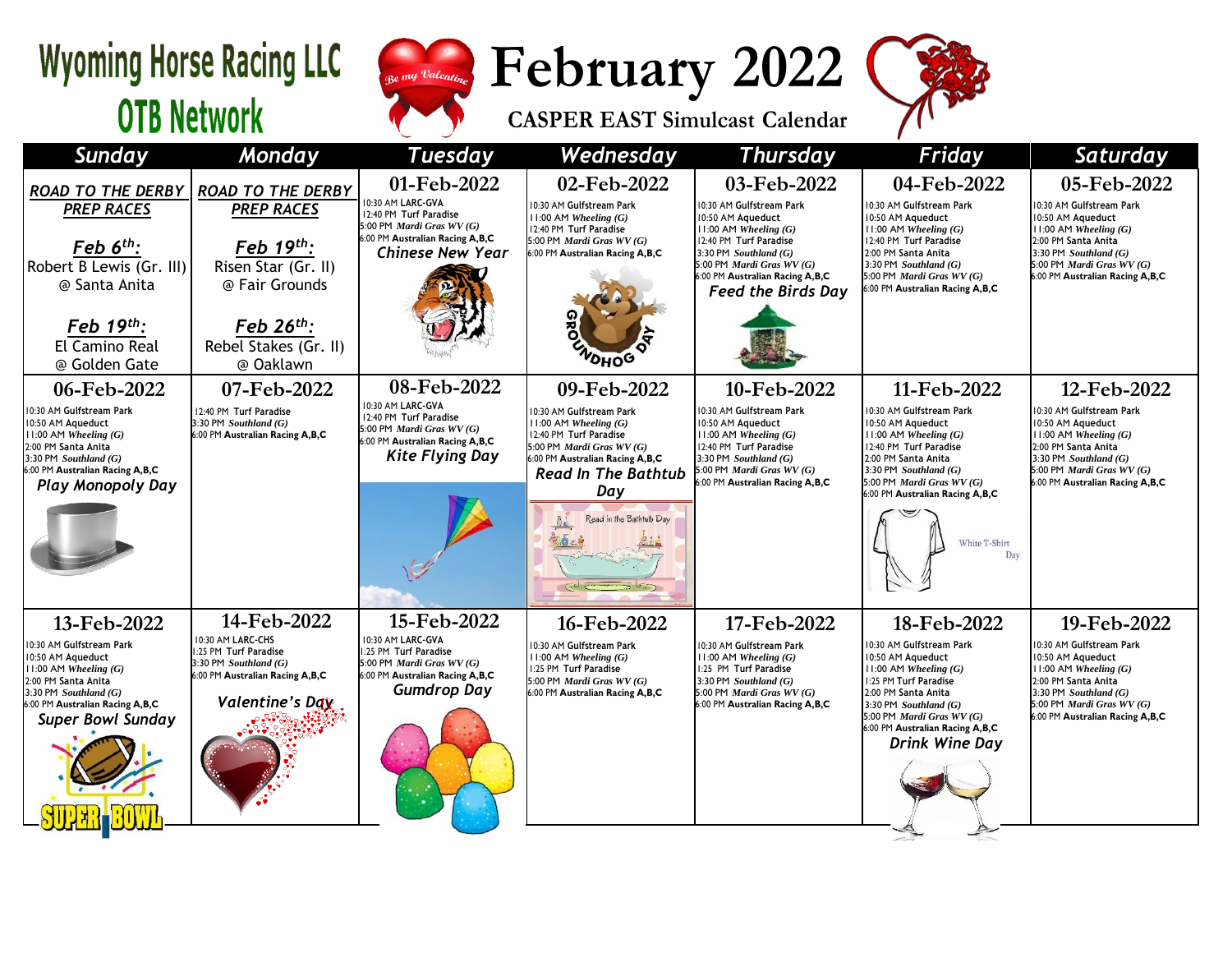## **Wyoming Horse Racing LLC OTB Network**



**February 2022**

**CASPER EAST Simulcast Calendar**



| <b>Sunday</b>                                                                                                                                                                                                | Monday                                                                                                                                     | <b>Tuesday</b>                                                                                                                                           | Wednesday                                                                                                                                                                                    | <b>Thursday</b>                                                                                                                                                                                                | Friday                                                                                                                                                                                                                                                        | Saturday                                                                                                                                                                                                             |
|--------------------------------------------------------------------------------------------------------------------------------------------------------------------------------------------------------------|--------------------------------------------------------------------------------------------------------------------------------------------|----------------------------------------------------------------------------------------------------------------------------------------------------------|----------------------------------------------------------------------------------------------------------------------------------------------------------------------------------------------|----------------------------------------------------------------------------------------------------------------------------------------------------------------------------------------------------------------|---------------------------------------------------------------------------------------------------------------------------------------------------------------------------------------------------------------------------------------------------------------|----------------------------------------------------------------------------------------------------------------------------------------------------------------------------------------------------------------------|
| <b>ROAD TO THE DERBY</b><br><b>PREP RACES</b><br>Feb $6th$ :<br>Robert B Lewis (Gr. III)                                                                                                                     | <b>ROAD TO THE DERBY</b><br><b>PREP RACES</b><br>Feb 19th:<br>Risen Star (Gr. II)                                                          | 01-Feb-2022<br>10:30 AM LARC-GVA<br>12:40 PM Turf Paradise<br>5:00 PM Mardi Gras WV (G)<br>6:00 PM Australian Racing A,B,C<br><b>Chinese New Year</b>    | 02-Feb-2022<br>10:30 AM Gulfstream Park<br>11:00 AM Wheeling $(G)$<br>12:40 PM Turf Paradise<br>5:00 PM Mardi Gras WV (G)<br>6:00 PM Australian Racing A,B,C                                 | 03-Feb-2022<br>10:30 AM Gulfstream Park<br>10:50 AM Aqueduct<br>$11:00$ AM Wheeling $(G)$<br>12:40 PM Turf Paradise<br>3:30 PM $Southland(G)$<br>5:00 PM Mardi Gras WV (G)<br>6:00 PM Australian Racing A,B,C  | 04-Feb-2022<br>10:30 AM Gulfstream Park<br>10:50 AM Aqueduct<br>11:00 AM Wheeling $(G)$<br>12:40 PM Turf Paradise<br>2:00 PM Santa Anita<br>3:30 PM Southland $(G)$<br>5:00 PM Mardi Gras WV (G)                                                              | 05-Feb-2022<br>10:30 AM Gulfstream Park<br>10:50 AM Aqueduct<br>11:00 AM Wheeling $(G)$<br>2:00 PM Santa Anita<br>3:30 PM Southland $(G)$<br>5:00 PM <i>Mardi Gras WV</i> $(G)$<br>6:00 PM Australian Racing A,B,C   |
| @ Santa Anita<br>Feb $19th$ :<br>El Camino Real<br>@ Golden Gate                                                                                                                                             | @ Fair Grounds<br>Feb $26^{th}$ :<br>Rebel Stakes (Gr. II)<br>@ Oaklawn                                                                    |                                                                                                                                                          | <b>VOHOG</b>                                                                                                                                                                                 | <b>Feed the Birds Day</b>                                                                                                                                                                                      | :00 PM Australian Racing A,B,C                                                                                                                                                                                                                                |                                                                                                                                                                                                                      |
| 06-Feb-2022<br>10:30 AM Gulfstream Park<br>10:50 AM Aqueduct<br>11:00 AM Wheeling $(G)$<br>2:00 PM Santa Anita<br>3:30 PM $Southland(G)$<br>6:00 PM Australian Racing A,B,C<br><b>Play Monopoly Day</b>      | 07-Feb-2022<br>12:40 PM Turf Paradise<br>3:30 PM Southland $(G)$<br>6:00 PM Australian Racing A,B,C                                        | 08-Feb-2022<br>10:30 AM LARC-GVA<br>12:40 PM Turf Paradise<br>5:00 PM Mardi Gras WV (G)<br>6:00 PM Australian Racing A,B,C<br><b>Kite Flying Day</b>     | 09-Feb-2022<br>10:30 AM Gulfstream Park<br>$11:00$ AM Wheeling $(G)$<br>12:40 PM Turf Paradise<br>5:00 PM Mardi Gras WV (G)<br>6:00 PM Australian Racing A,B,C<br><b>Read In The Bathtub</b> | 10-Feb-2022<br>10:30 AM Gulfstream Park<br>10:50 AM Aqueduct<br>$11:00$ AM Wheeling $(G)$<br>12:40 PM Turf Paradise<br>3:30 PM Southland $(G)$<br>5:00 PM Mardi Gras WV (G)<br>6:00 PM Australian Racing A,B,C | 11-Feb-2022<br>10:30 AM Gulfstream Park<br>10:50 AM Aqueduct<br>$11:00$ AM Wheeling $(G)$<br>12:40 PM Turf Paradise<br>2:00 PM Santa Anita<br>3:30 PM Southland $(G)$<br>5:00 PM Mardi Gras WV (G)                                                            | 12-Feb-2022<br>10:30 AM Gulfstream Park<br>10:50 AM Aqueduct<br>$11:00$ AM Wheeling $(G)$<br>2:00 PM Santa Anita<br>3:30 PM Southland $(G)$<br>5:00 PM Mardi Gras WV (G)<br>6:00 PM Australian Racing A,B,C          |
|                                                                                                                                                                                                              |                                                                                                                                            |                                                                                                                                                          | Day<br>Read in the Bathtub Day                                                                                                                                                               |                                                                                                                                                                                                                | 6:00 PM Australian Racing A,B,C<br>White T-Shirt<br>Day                                                                                                                                                                                                       |                                                                                                                                                                                                                      |
| 13-Feb-2022<br>10:30 AM Gulfstream Park<br>10:50 AM Aqueduct<br>$11:00$ AM Wheeling $(G)$<br>2:00 PM Santa Anita<br>$3:30$ PM Southland $(G)$<br>6:00 PM Australian Racing A,B,C<br><b>Super Bowl Sunday</b> | 14-Feb-2022<br>10:30 AM LARC-CHS<br>1:25 PM Turf Paradise<br>3:30 PM Southland $(G)$<br>6:00 PM Australian Racing A,B,C<br>Valentine's Ddy | 15-Feb-2022<br>10:30 AM LARC-GVA<br>1:25 PM Turf Paradise<br>5:00 PM <i>Mardi Gras WV</i> $(G)$<br>6:00 PM Australian Racing A,B,C<br><b>Gumdrop Day</b> | 16-Feb-2022<br>10:30 AM Gulfstream Park<br>$11:00$ AM Wheeling $(G)$<br>1:25 PM Turf Paradise<br>5:00 PM Mardi Gras $WV(G)$<br>6:00 PM Australian Racing A,B,C                               | 17-Feb-2022<br>10:30 AM Gulfstream Park<br>$11:00$ AM Wheeling $(G)$<br>1:25 PM Turf Paradise<br>3:30 PM Southland $(G)$<br>5:00 PM Mardi Gras WV (G)<br>6:00 PM Australian Racing A, B, C                     | 18-Feb-2022<br>10:30 AM Gulfstream Park<br>10:50 AM Aqueduct<br>$11:00$ AM Wheeling $(G)$<br>1:25 PM Turf Paradise<br>2:00 PM Santa Anita<br>3:30 PM Southland $(G)$<br>5:00 PM Mardi Gras WV (G)<br>6:00 PM Australian Racing A,B,C<br><b>Drink Wine Day</b> | 19-Feb-2022<br>10:30 AM Gulfstream Park<br>10:50 AM Aqueduct<br>$11:00$ AM Wheeling $(G)$<br>2:00 PM Santa Anita<br>3:30 PM Southland $(G)$<br>5:00 PM <i>Mardi Gras WV</i> $(G)$<br>6:00 PM Australian Racing A,B,C |